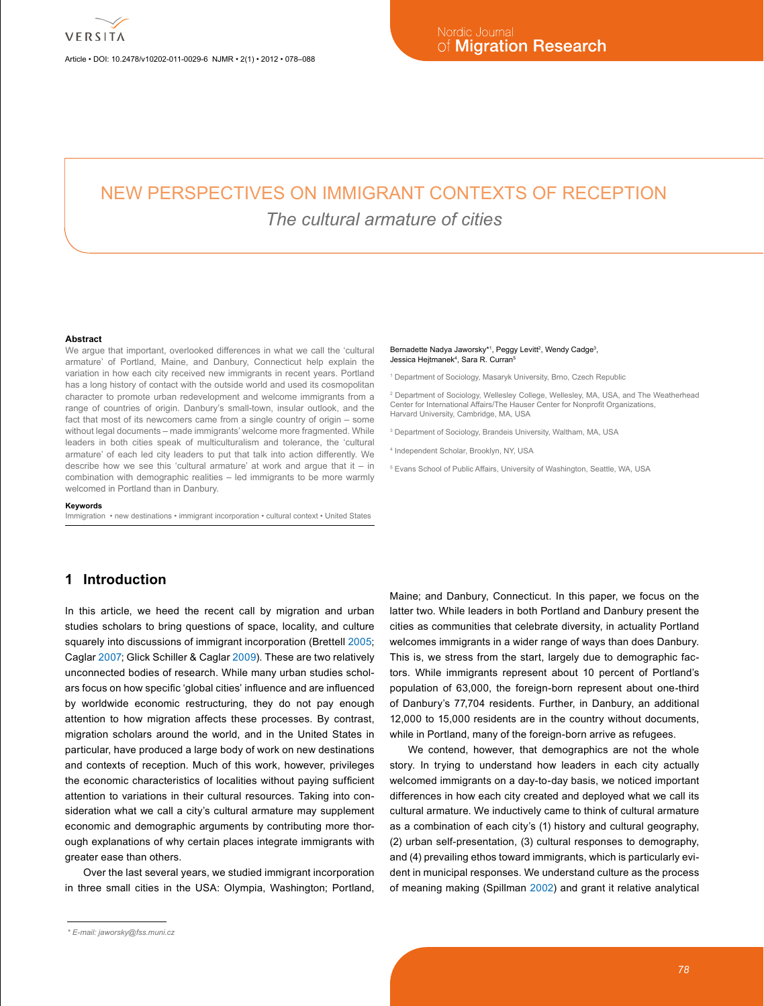Article • DOI: 10.2478/v10202-011-0029-6 NJMR • 2(1) • 2012 • 078–088

# NEW PERSPECTIVES ON IMMIGRANT CONTEXTS OF RECEPTION *The cultural armature of cities*

#### **Abstract**

We argue that important, overlooked differences in what we call the 'cultural armature' of Portland, Maine, and Danbury, Connecticut help explain the variation in how each city received new immigrants in recent years. Portland has a long history of contact with the outside world and used its cosmopolitan character to promote urban redevelopment and welcome immigrants from a range of countries of origin. Danbury's small-town, insular outlook, and the fact that most of its newcomers came from a single country of origin – some without legal documents – made immigrants' welcome more fragmented. While leaders in both cities speak of multiculturalism and tolerance, the 'cultural armature' of each led city leaders to put that talk into action differently. We describe how we see this 'cultural armature' at work and argue that it  $-$  in combination with demographic realities – led immigrants to be more warmly welcomed in Portland than in Danbury.

#### **Keywords**

Immigration • new destinations • immigrant incorporation • cultural context • United States

# **1 Introduction**

In this article, we heed the recent call by migration and urban studies scholars to bring questions of space, locality, and culture squarely into discussions of immigrant incorporation (Brettell [2005](#page-9-0); Caglar [2007;](#page-9-1) Glick Schiller & Caglar [2009\)](#page-9-2). These are two relatively unconnected bodies of research. While many urban studies scholars focus on how specific 'global cities' influence and are influenced by worldwide economic restructuring, they do not pay enough attention to how migration affects these processes. By contrast, migration scholars around the world, and in the United States in particular, have produced a large body of work on new destinations and contexts of reception. Much of this work, however, privileges the economic characteristics of localities without paying sufficient attention to variations in their cultural resources. Taking into consideration what we call a city's cultural armature may supplement economic and demographic arguments by contributing more thorough explanations of why certain places integrate immigrants with greater ease than others.

Over the last several years, we studied immigrant incorporation in three small cities in the USA: Olympia, Washington; Portland,

#### Bernadette Nadya Jaworsky\*1, Peggy Levitt<sup>2</sup>, Wendy Cadge<sup>3</sup>, Jessica Hejtmanek<sup>4</sup>, Sara R. Curran<sup>5</sup>

1 Department of Sociology, Masaryk University, Brno, Czech Republic

2 Department of Sociology, Wellesley College, Wellesley, MA, USA, and The Weatherhead Center for International Affairs/The Hauser Center for Nonprofit Organizations, Harvard University, Cambridge, MA, USA

3 Department of Sociology, Brandeis University, Waltham, MA, USA

4 Independent Scholar, Brooklyn, NY, USA

5 Evans School of Public Affairs, University of Washington, Seattle, WA, USA

Maine; and Danbury, Connecticut. In this paper, we focus on the latter two. While leaders in both Portland and Danbury present the cities as communities that celebrate diversity, in actuality Portland welcomes immigrants in a wider range of ways than does Danbury. This is, we stress from the start, largely due to demographic factors. While immigrants represent about 10 percent of Portland's population of 63,000, the foreign-born represent about one-third of Danbury's 77,704 residents. Further, in Danbury, an additional 12,000 to 15,000 residents are in the country without documents, while in Portland, many of the foreign-born arrive as refugees.

We contend, however, that demographics are not the whole story. In trying to understand how leaders in each city actually welcomed immigrants on a day-to-day basis, we noticed important differences in how each city created and deployed what we call its cultural armature. We inductively came to think of cultural armature as a combination of each city's (1) history and cultural geography, (2) urban self-presentation, (3) cultural responses to demography, and (4) prevailing ethos toward immigrants, which is particularly evident in municipal responses. We understand culture as the process of meaning making (Spillman [2002](#page-10-0)) and grant it relative analytical

*<sup>\*</sup> E-mail: [jaworsky@fss.muni.cz](mailto:jaworsky@fss.muni.cz)*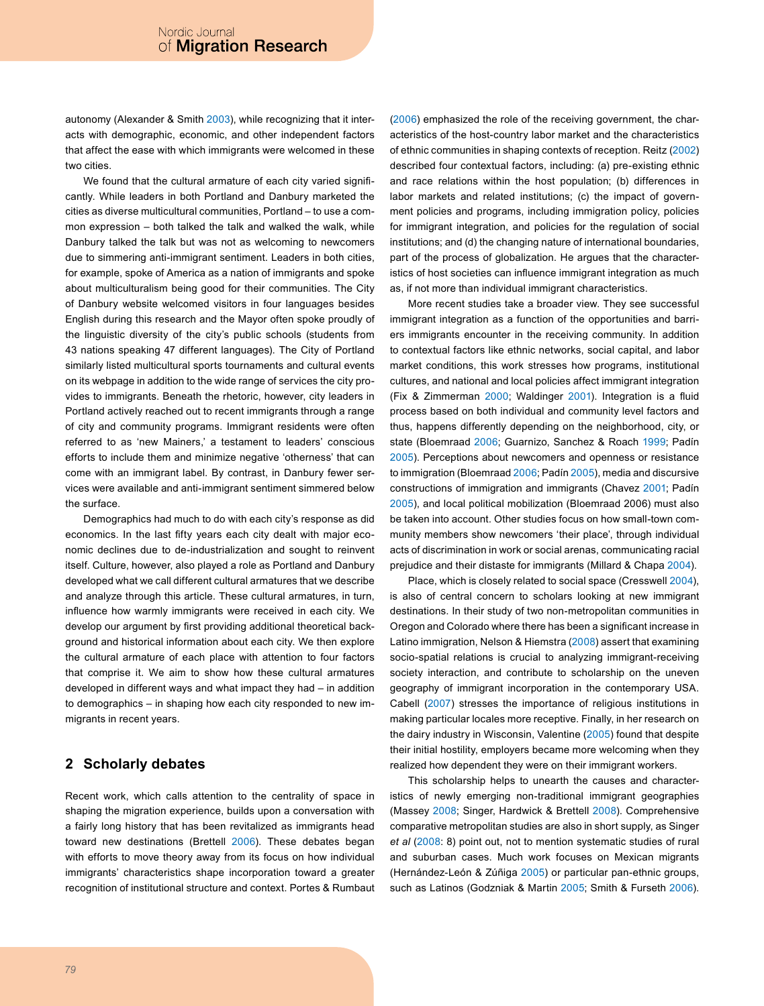autonomy (Alexander & Smith [2003](#page-9-3)), while recognizing that it interacts with demographic, economic, and other independent factors that affect the ease with which immigrants were welcomed in these two cities.

We found that the cultural armature of each city varied significantly. While leaders in both Portland and Danbury marketed the cities as diverse multicultural communities, Portland – to use a common expression – both talked the talk and walked the walk, while Danbury talked the talk but was not as welcoming to newcomers due to simmering anti-immigrant sentiment. Leaders in both cities, for example, spoke of America as a nation of immigrants and spoke about multiculturalism being good for their communities. The City of Danbury website welcomed visitors in four languages besides English during this research and the Mayor often spoke proudly of the linguistic diversity of the city's public schools (students from 43 nations speaking 47 different languages). The City of Portland similarly listed multicultural sports tournaments and cultural events on its webpage in addition to the wide range of services the city provides to immigrants. Beneath the rhetoric, however, city leaders in Portland actively reached out to recent immigrants through a range of city and community programs. Immigrant residents were often referred to as 'new Mainers,' a testament to leaders' conscious efforts to include them and minimize negative 'otherness' that can come with an immigrant label. By contrast, in Danbury fewer services were available and anti-immigrant sentiment simmered below the surface.

Demographics had much to do with each city's response as did economics. In the last fifty years each city dealt with major economic declines due to de-industrialization and sought to reinvent itself. Culture, however, also played a role as Portland and Danbury developed what we call different cultural armatures that we describe and analyze through this article. These cultural armatures, in turn, influence how warmly immigrants were received in each city. We develop our argument by first providing additional theoretical background and historical information about each city. We then explore the cultural armature of each place with attention to four factors that comprise it. We aim to show how these cultural armatures developed in different ways and what impact they had – in addition to demographics – in shaping how each city responded to new immigrants in recent years.

# **2 Scholarly debates**

Recent work, which calls attention to the centrality of space in shaping the migration experience, builds upon a conversation with a fairly long history that has been revitalized as immigrants head toward new destinations (Brettell [2006\)](#page-9-4). These debates began with efforts to move theory away from its focus on how individual immigrants' characteristics shape incorporation toward a greater recognition of institutional structure and context. Portes & Rumbaut ([2006\)](#page-9-5) emphasized the role of the receiving government, the characteristics of the host-country labor market and the characteristics of ethnic communities in shaping contexts of reception. Reitz [\(2002](#page-9-6)) described four contextual factors, including: (a) pre-existing ethnic and race relations within the host population; (b) differences in labor markets and related institutions; (c) the impact of government policies and programs, including immigration policy, policies for immigrant integration, and policies for the regulation of social institutions; and (d) the changing nature of international boundaries, part of the process of globalization. He argues that the characteristics of host societies can influence immigrant integration as much as, if not more than individual immigrant characteristics.

More recent studies take a broader view. They see successful immigrant integration as a function of the opportunities and barriers immigrants encounter in the receiving community. In addition to contextual factors like ethnic networks, social capital, and labor market conditions, this work stresses how programs, institutional cultures, and national and local policies affect immigrant integration (Fix & Zimmerman [2000;](#page-9-7) Waldinger [2001\)](#page-10-1). Integration is a fluid process based on both individual and community level factors and thus, happens differently depending on the neighborhood, city, or state (Bloemraad [2006](#page-9-8); Guarnizo, Sanchez & Roach [1999](#page-9-9); Padín 2005). Perceptions about newcomers and openness or resistance to immigration (Bloemraad [2006;](#page-9-8) Padín 2005), media and discursive constructions of immigration and immigrants (Chavez [2001](#page-9-10); Padín 2005), and local political mobilization (Bloemraad 2006) must also be taken into account. Other studies focus on how small-town community members show newcomers 'their place', through individual acts of discrimination in work or social arenas, communicating racial prejudice and their distaste for immigrants (Millard & Chapa [2004\)](#page-9-11).

Place, which is closely related to social space (Cresswell [2004](#page-9-12)), is also of central concern to scholars looking at new immigrant destinations. In their study of two non-metropolitan communities in Oregon and Colorado where there has been a significant increase in Latino immigration, Nelson & Hiemstra ([2008](#page-9-13)) assert that examining socio-spatial relations is crucial to analyzing immigrant-receiving society interaction, and contribute to scholarship on the uneven geography of immigrant incorporation in the contemporary USA. Cabell [\(2007\)](#page-9-14) stresses the importance of religious institutions in making particular locales more receptive. Finally, in her research on the dairy industry in Wisconsin, Valentine [\(2005\)](#page-10-2) found that despite their initial hostility, employers became more welcoming when they realized how dependent they were on their immigrant workers.

This scholarship helps to unearth the causes and characteristics of newly emerging non-traditional immigrant geographies (Massey [2008;](#page-9-15) Singer, Hardwick & Brettell [2008](#page-9-16)). Comprehensive comparative metropolitan studies are also in short supply, as Singer *et al* [\(2008](#page-9-16): 8) point out, not to mention systematic studies of rural and suburban cases. Much work focuses on Mexican migrants (Hernández-León & Zúñiga 2005) or particular pan-ethnic groups, such as Latinos (Godzniak & Martin [2005;](#page-9-17) Smith & Furseth [2006](#page-10-3)).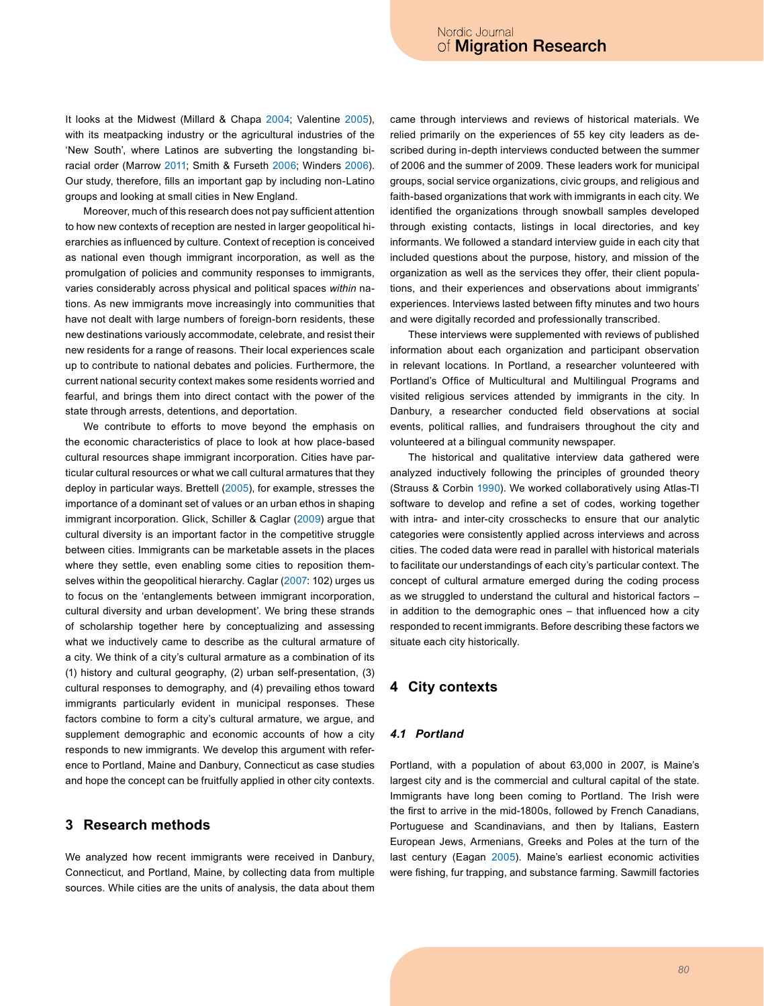It looks at the Midwest (Millard & Chapa [2004;](#page-9-11) Valentine [2005](#page-10-2)), with its meatpacking industry or the agricultural industries of the 'New South', where Latinos are subverting the longstanding biracial order (Marrow [2011](#page-9-18); Smith & Furseth [2006;](#page-10-3) Winders [2006](#page-10-4)). Our study, therefore, fills an important gap by including non-Latino groups and looking at small cities in New England.

Moreover, much of this research does not pay sufficient attention to how new contexts of reception are nested in larger geopolitical hierarchies as influenced by culture. Context of reception is conceived as national even though immigrant incorporation, as well as the promulgation of policies and community responses to immigrants, varies considerably across physical and political spaces *within* nations. As new immigrants move increasingly into communities that have not dealt with large numbers of foreign-born residents, these new destinations variously accommodate, celebrate, and resist their new residents for a range of reasons. Their local experiences scale up to contribute to national debates and policies. Furthermore, the current national security context makes some residents worried and fearful, and brings them into direct contact with the power of the state through arrests, detentions, and deportation.

We contribute to efforts to move beyond the emphasis on the economic characteristics of place to look at how place-based cultural resources shape immigrant incorporation. Cities have particular cultural resources or what we call cultural armatures that they deploy in particular ways. Brettell ([2005\)](#page-9-0), for example, stresses the importance of a dominant set of values or an urban ethos in shaping immigrant incorporation. Glick, Schiller & Caglar ([2009\)](#page-9-2) argue that cultural diversity is an important factor in the competitive struggle between cities. Immigrants can be marketable assets in the places where they settle, even enabling some cities to reposition them-selves within the geopolitical hierarchy. Caglar [\(2007](#page-9-1): 102) urges us to focus on the 'entanglements between immigrant incorporation, cultural diversity and urban development'. We bring these strands of scholarship together here by conceptualizing and assessing what we inductively came to describe as the cultural armature of a city. We think of a city's cultural armature as a combination of its (1) history and cultural geography, (2) urban self-presentation, (3) cultural responses to demography, and (4) prevailing ethos toward immigrants particularly evident in municipal responses. These factors combine to form a city's cultural armature, we argue, and supplement demographic and economic accounts of how a city responds to new immigrants. We develop this argument with reference to Portland, Maine and Danbury, Connecticut as case studies and hope the concept can be fruitfully applied in other city contexts.

## **3 Research methods**

We analyzed how recent immigrants were received in Danbury, Connecticut, and Portland, Maine, by collecting data from multiple sources. While cities are the units of analysis, the data about them

came through interviews and reviews of historical materials. We relied primarily on the experiences of 55 key city leaders as described during in-depth interviews conducted between the summer of 2006 and the summer of 2009. These leaders work for municipal groups, social service organizations, civic groups, and religious and faith-based organizations that work with immigrants in each city. We identified the organizations through snowball samples developed through existing contacts, listings in local directories, and key informants. We followed a standard interview guide in each city that included questions about the purpose, history, and mission of the organization as well as the services they offer, their client populations, and their experiences and observations about immigrants' experiences. Interviews lasted between fifty minutes and two hours and were digitally recorded and professionally transcribed.

These interviews were supplemented with reviews of published information about each organization and participant observation in relevant locations. In Portland, a researcher volunteered with Portland's Office of Multicultural and Multilingual Programs and visited religious services attended by immigrants in the city. In Danbury, a researcher conducted field observations at social events, political rallies, and fundraisers throughout the city and volunteered at a bilingual community newspaper.

The historical and qualitative interview data gathered were analyzed inductively following the principles of grounded theory (Strauss & Corbin [1990\)](#page-10-5). We worked collaboratively using Atlas-TI software to develop and refine a set of codes, working together with intra- and inter-city crosschecks to ensure that our analytic categories were consistently applied across interviews and across cities. The coded data were read in parallel with historical materials to facilitate our understandings of each city's particular context. The concept of cultural armature emerged during the coding process as we struggled to understand the cultural and historical factors – in addition to the demographic ones – that influenced how a city responded to recent immigrants. Before describing these factors we situate each city historically.

### **4 City contexts**

#### *4.1 Portland*

Portland, with a population of about 63,000 in 2007, is Maine's largest city and is the commercial and cultural capital of the state. Immigrants have long been coming to Portland. The Irish were the first to arrive in the mid-1800s, followed by French Canadians, Portuguese and Scandinavians, and then by Italians, Eastern European Jews, Armenians, Greeks and Poles at the turn of the last century (Eagan [2005\)](#page-9-19). Maine's earliest economic activities were fishing, fur trapping, and substance farming. Sawmill factories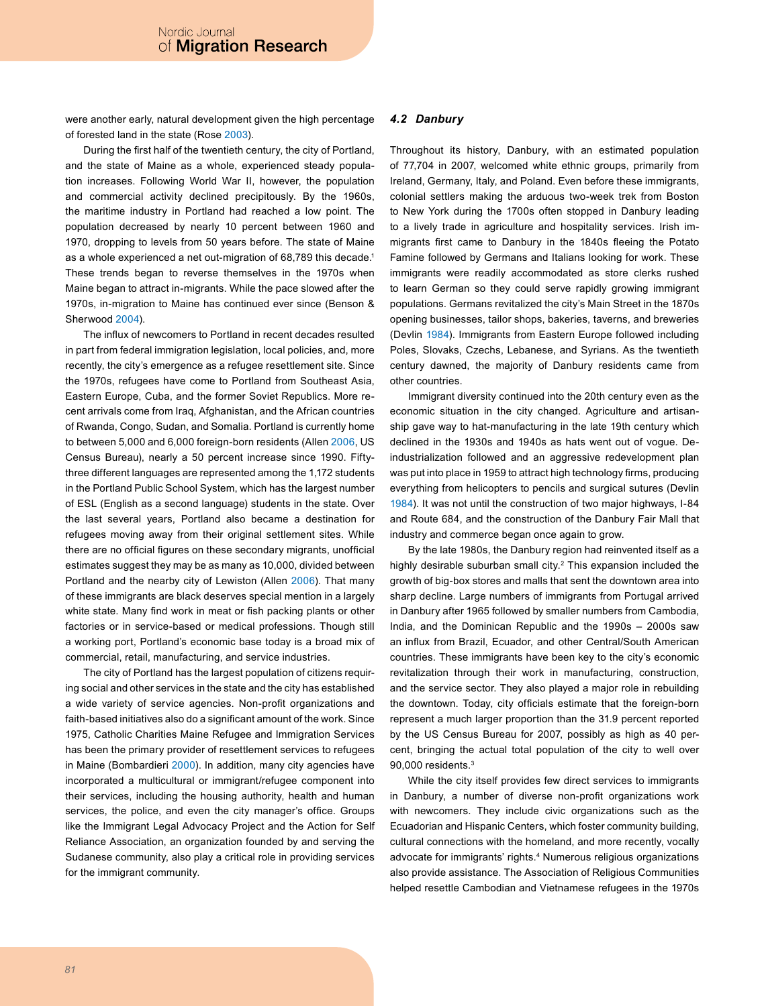were another early, natural development given the high percentage of forested land in the state (Rose [2003](#page-9-20)).

During the first half of the twentieth century, the city of Portland, and the state of Maine as a whole, experienced steady population increases. Following World War II, however, the population and commercial activity declined precipitously. By the 1960s, the maritime industry in Portland had reached a low point. The population decreased by nearly 10 percent between 1960 and 1970, dropping to levels from 50 years before. The state of Maine as a whole experienced a net out-migration of 68,789 this decade.<sup>1</sup> These trends began to reverse themselves in the 1970s when Maine began to attract in-migrants. While the pace slowed after the 1970s, in-migration to Maine has continued ever since (Benson & Sherwood [2004](#page-9-21)).

The influx of newcomers to Portland in recent decades resulted in part from federal immigration legislation, local policies, and, more recently, the city's emergence as a refugee resettlement site. Since the 1970s, refugees have come to Portland from Southeast Asia, Eastern Europe, Cuba, and the former Soviet Republics. More recent arrivals come from Iraq, Afghanistan, and the African countries of Rwanda, Congo, Sudan, and Somalia. Portland is currently home to between 5,000 and 6,000 foreign-born residents (Allen [2006,](#page-9-22) US Census Bureau), nearly a 50 percent increase since 1990. Fiftythree different languages are represented among the 1,172 students in the Portland Public School System, which has the largest number of ESL (English as a second language) students in the state. Over the last several years, Portland also became a destination for refugees moving away from their original settlement sites. While there are no official figures on these secondary migrants, unofficial estimates suggest they may be as many as 10,000, divided between Portland and the nearby city of Lewiston (Allen [2006](#page-9-22)). That many of these immigrants are black deserves special mention in a largely white state. Many find work in meat or fish packing plants or other factories or in service-based or medical professions. Though still a working port, Portland's economic base today is a broad mix of commercial, retail, manufacturing, and service industries.

The city of Portland has the largest population of citizens requiring social and other services in the state and the city has established a wide variety of service agencies. Non-profit organizations and faith-based initiatives also do a significant amount of the work. Since 1975, Catholic Charities Maine Refugee and Immigration Services has been the primary provider of resettlement services to refugees in Maine (Bombardieri [2000](#page-9-23)). In addition, many city agencies have incorporated a multicultural or immigrant/refugee component into their services, including the housing authority, health and human services, the police, and even the city manager's office. Groups like the Immigrant Legal Advocacy Project and the Action for Self Reliance Association, an organization founded by and serving the Sudanese community, also play a critical role in providing services for the immigrant community.

### *4.2 Danbury*

Throughout its history, Danbury, with an estimated population of 77,704 in 2007, welcomed white ethnic groups, primarily from Ireland, Germany, Italy, and Poland. Even before these immigrants, colonial settlers making the arduous two-week trek from Boston to New York during the 1700s often stopped in Danbury leading to a lively trade in agriculture and hospitality services. Irish immigrants first came to Danbury in the 1840s fleeing the Potato Famine followed by Germans and Italians looking for work. These immigrants were readily accommodated as store clerks rushed to learn German so they could serve rapidly growing immigrant populations. Germans revitalized the city's Main Street in the 1870s opening businesses, tailor shops, bakeries, taverns, and breweries (Devlin [1984](#page-9-24)). Immigrants from Eastern Europe followed including Poles, Slovaks, Czechs, Lebanese, and Syrians. As the twentieth century dawned, the majority of Danbury residents came from other countries.

Immigrant diversity continued into the 20th century even as the economic situation in the city changed. Agriculture and artisanship gave way to hat-manufacturing in the late 19th century which declined in the 1930s and 1940s as hats went out of vogue. Deindustrialization followed and an aggressive redevelopment plan was put into place in 1959 to attract high technology firms, producing everything from helicopters to pencils and surgical sutures (Devlin [1984\)](#page-9-24). It was not until the construction of two major highways, I-84 and Route 684, and the construction of the Danbury Fair Mall that industry and commerce began once again to grow.

By the late 1980s, the Danbury region had reinvented itself as a highly desirable suburban small city.<sup>[2](#page-8-1)</sup> This expansion included the growth of big-box stores and malls that sent the downtown area into sharp decline. Large numbers of immigrants from Portugal arrived in Danbury after 1965 followed by smaller numbers from Cambodia, India, and the Dominican Republic and the 1990s – 2000s saw an influx from Brazil, Ecuador, and other Central/South American countries. These immigrants have been key to the city's economic revitalization through their work in manufacturing, construction, and the service sector. They also played a major role in rebuilding the downtown. Today, city officials estimate that the foreign-born represent a much larger proportion than the 31.9 percent reported by the US Census Bureau for 2007, possibly as high as 40 percent, bringing the actual total population of the city to well over 90,000 residents.<sup>[3](#page-8-2)</sup>

While the city itself provides few direct services to immigrants in Danbury, a number of diverse non-profit organizations work with newcomers. They include civic organizations such as the Ecuadorian and Hispanic Centers, which foster community building, cultural connections with the homeland, and more recently, vocally advocate for immigrants' rights.<sup>4</sup> Numerous religious organizations also provide assistance. The Association of Religious Communities helped resettle Cambodian and Vietnamese refugees in the 1970s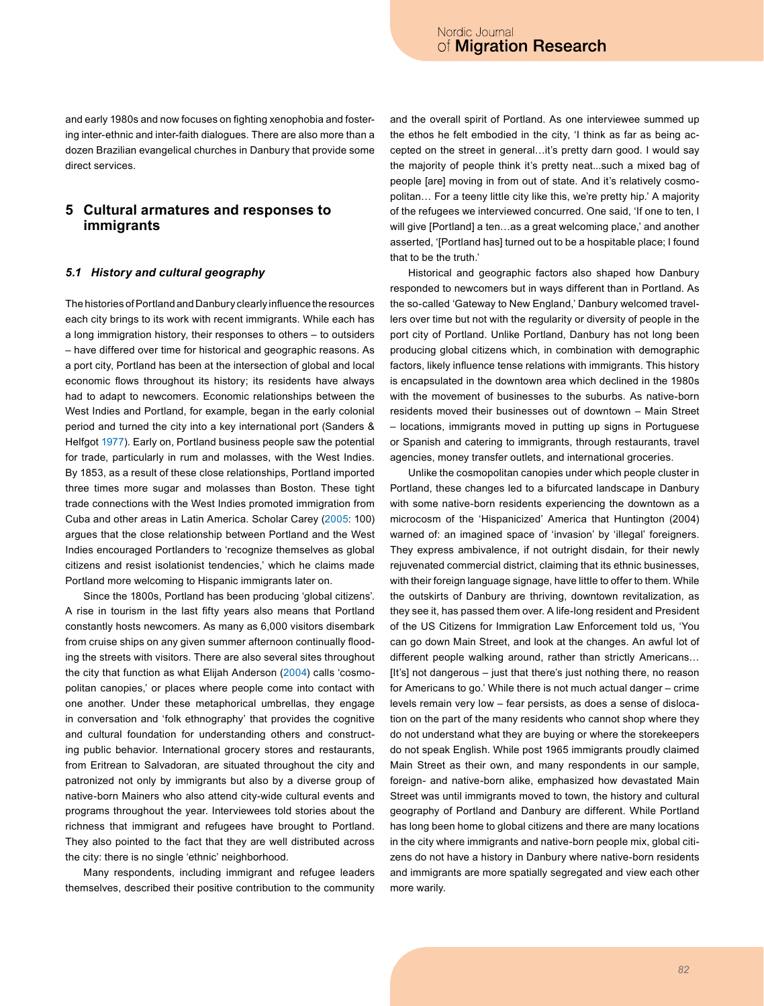and early 1980s and now focuses on fighting xenophobia and fostering inter-ethnic and inter-faith dialogues. There are also more than a dozen Brazilian evangelical churches in Danbury that provide some direct services.

# **5 Cultural armatures and responses to immigrants**

#### *5.1 History and cultural geography*

The histories of Portland and Danbury clearly influence the resources each city brings to its work with recent immigrants. While each has a long immigration history, their responses to others – to outsiders – have differed over time for historical and geographic reasons. As a port city, Portland has been at the intersection of global and local economic flows throughout its history; its residents have always had to adapt to newcomers. Economic relationships between the West Indies and Portland, for example, began in the early colonial period and turned the city into a key international port (Sanders & Helfgot [1977\)](#page-9-25). Early on, Portland business people saw the potential for trade, particularly in rum and molasses, with the West Indies. By 1853, as a result of these close relationships, Portland imported three times more sugar and molasses than Boston. These tight trade connections with the West Indies promoted immigration from Cuba and other areas in Latin America. Scholar Carey [\(2005](#page-9-26): 100) argues that the close relationship between Portland and the West Indies encouraged Portlanders to 'recognize themselves as global citizens and resist isolationist tendencies,' which he claims made Portland more welcoming to Hispanic immigrants later on.

Since the 1800s, Portland has been producing 'global citizens'. A rise in tourism in the last fifty years also means that Portland constantly hosts newcomers. As many as 6,000 visitors disembark from cruise ships on any given summer afternoon continually flooding the streets with visitors. There are also several sites throughout the city that function as what Elijah Anderson [\(2004](#page-9-27)) calls 'cosmopolitan canopies,' or places where people come into contact with one another. Under these metaphorical umbrellas, they engage in conversation and 'folk ethnography' that provides the cognitive and cultural foundation for understanding others and constructing public behavior. International grocery stores and restaurants, from Eritrean to Salvadoran, are situated throughout the city and patronized not only by immigrants but also by a diverse group of native-born Mainers who also attend city-wide cultural events and programs throughout the year. Interviewees told stories about the richness that immigrant and refugees have brought to Portland. They also pointed to the fact that they are well distributed across the city: there is no single 'ethnic' neighborhood.

Many respondents, including immigrant and refugee leaders themselves, described their positive contribution to the community and the overall spirit of Portland. As one interviewee summed up the ethos he felt embodied in the city, 'I think as far as being accepted on the street in general…it's pretty darn good. I would say the majority of people think it's pretty neat...such a mixed bag of people [are] moving in from out of state. And it's relatively cosmopolitan… For a teeny little city like this, we're pretty hip.' A majority of the refugees we interviewed concurred. One said, 'If one to ten, I will give [Portland] a ten…as a great welcoming place,' and another asserted, '[Portland has] turned out to be a hospitable place; I found that to be the truth.'

Historical and geographic factors also shaped how Danbury responded to newcomers but in ways different than in Portland. As the so-called 'Gateway to New England,' Danbury welcomed travellers over time but not with the regularity or diversity of people in the port city of Portland. Unlike Portland, Danbury has not long been producing global citizens which, in combination with demographic factors, likely influence tense relations with immigrants. This history is encapsulated in the downtown area which declined in the 1980s with the movement of businesses to the suburbs. As native-born residents moved their businesses out of downtown – Main Street – locations, immigrants moved in putting up signs in Portuguese or Spanish and catering to immigrants, through restaurants, travel agencies, money transfer outlets, and international groceries.

Unlike the cosmopolitan canopies under which people cluster in Portland, these changes led to a bifurcated landscape in Danbury with some native-born residents experiencing the downtown as a microcosm of the 'Hispanicized' America that Huntington (2004) warned of: an imagined space of 'invasion' by 'illegal' foreigners. They express ambivalence, if not outright disdain, for their newly rejuvenated commercial district, claiming that its ethnic businesses, with their foreign language signage, have little to offer to them. While the outskirts of Danbury are thriving, downtown revitalization, as they see it, has passed them over. A life-long resident and President of the US Citizens for Immigration Law Enforcement told us, 'You can go down Main Street, and look at the changes. An awful lot of different people walking around, rather than strictly Americans… [It's] not dangerous – just that there's just nothing there, no reason for Americans to go.' While there is not much actual danger – crime levels remain very low – fear persists, as does a sense of dislocation on the part of the many residents who cannot shop where they do not understand what they are buying or where the storekeepers do not speak English. While post 1965 immigrants proudly claimed Main Street as their own, and many respondents in our sample, foreign- and native-born alike, emphasized how devastated Main Street was until immigrants moved to town, the history and cultural geography of Portland and Danbury are different. While Portland has long been home to global citizens and there are many locations in the city where immigrants and native-born people mix, global citizens do not have a history in Danbury where native-born residents and immigrants are more spatially segregated and view each other more warily.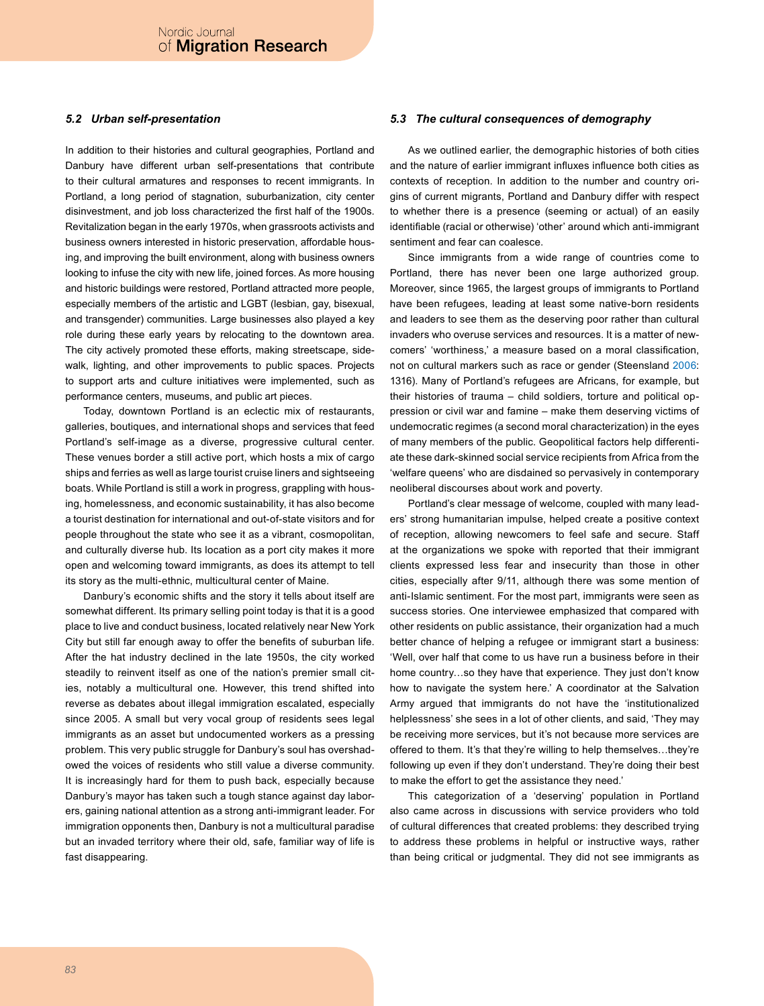### *5.2 Urban self-presentation*

In addition to their histories and cultural geographies, Portland and Danbury have different urban self-presentations that contribute to their cultural armatures and responses to recent immigrants. In Portland, a long period of stagnation, suburbanization, city center disinvestment, and job loss characterized the first half of the 1900s. Revitalization began in the early 1970s, when grassroots activists and business owners interested in historic preservation, affordable housing, and improving the built environment, along with business owners looking to infuse the city with new life, joined forces. As more housing and historic buildings were restored, Portland attracted more people, especially members of the artistic and LGBT (lesbian, gay, bisexual, and transgender) communities. Large businesses also played a key role during these early years by relocating to the downtown area. The city actively promoted these efforts, making streetscape, sidewalk, lighting, and other improvements to public spaces. Projects to support arts and culture initiatives were implemented, such as performance centers, museums, and public art pieces.

Today, downtown Portland is an eclectic mix of restaurants, galleries, boutiques, and international shops and services that feed Portland's self-image as a diverse, progressive cultural center. These venues border a still active port, which hosts a mix of cargo ships and ferries as well as large tourist cruise liners and sightseeing boats. While Portland is still a work in progress, grappling with housing, homelessness, and economic sustainability, it has also become a tourist destination for international and out-of-state visitors and for people throughout the state who see it as a vibrant, cosmopolitan, and culturally diverse hub. Its location as a port city makes it more open and welcoming toward immigrants, as does its attempt to tell its story as the multi-ethnic, multicultural center of Maine.

Danbury's economic shifts and the story it tells about itself are somewhat different. Its primary selling point today is that it is a good place to live and conduct business, located relatively near New York City but still far enough away to offer the benefits of suburban life. After the hat industry declined in the late 1950s, the city worked steadily to reinvent itself as one of the nation's premier small cities, notably a multicultural one. However, this trend shifted into reverse as debates about illegal immigration escalated, especially since 2005. A small but very vocal group of residents sees legal immigrants as an asset but undocumented workers as a pressing problem. This very public struggle for Danbury's soul has overshadowed the voices of residents who still value a diverse community. It is increasingly hard for them to push back, especially because Danbury's mayor has taken such a tough stance against day laborers, gaining national attention as a strong anti-immigrant leader. For immigration opponents then, Danbury is not a multicultural paradise but an invaded territory where their old, safe, familiar way of life is fast disappearing.

### *5.3 The cultural consequences of demography*

As we outlined earlier, the demographic histories of both cities and the nature of earlier immigrant influxes influence both cities as contexts of reception. In addition to the number and country origins of current migrants, Portland and Danbury differ with respect to whether there is a presence (seeming or actual) of an easily identifiable (racial or otherwise) 'other' around which anti-immigrant sentiment and fear can coalesce.

Since immigrants from a wide range of countries come to Portland, there has never been one large authorized group. Moreover, since 1965, the largest groups of immigrants to Portland have been refugees, leading at least some native-born residents and leaders to see them as the deserving poor rather than cultural invaders who overuse services and resources. It is a matter of newcomers' 'worthiness,' a measure based on a moral classification, not on cultural markers such as race or gender (Steensland [2006:](#page-10-6) 1316). Many of Portland's refugees are Africans, for example, but their histories of trauma – child soldiers, torture and political oppression or civil war and famine – make them deserving victims of undemocratic regimes (a second moral characterization) in the eyes of many members of the public. Geopolitical factors help differentiate these dark-skinned social service recipients from Africa from the 'welfare queens' who are disdained so pervasively in contemporary neoliberal discourses about work and poverty.

Portland's clear message of welcome, coupled with many leaders' strong humanitarian impulse, helped create a positive context of reception, allowing newcomers to feel safe and secure. Staff at the organizations we spoke with reported that their immigrant clients expressed less fear and insecurity than those in other cities, especially after 9/11, although there was some mention of anti-Islamic sentiment. For the most part, immigrants were seen as success stories. One interviewee emphasized that compared with other residents on public assistance, their organization had a much better chance of helping a refugee or immigrant start a business: 'Well, over half that come to us have run a business before in their home country…so they have that experience. They just don't know how to navigate the system here.' A coordinator at the Salvation Army argued that immigrants do not have the 'institutionalized helplessness' she sees in a lot of other clients, and said, 'They may be receiving more services, but it's not because more services are offered to them. It's that they're willing to help themselves…they're following up even if they don't understand. They're doing their best to make the effort to get the assistance they need.'

This categorization of a 'deserving' population in Portland also came across in discussions with service providers who told of cultural differences that created problems: they described trying to address these problems in helpful or instructive ways, rather than being critical or judgmental. They did not see immigrants as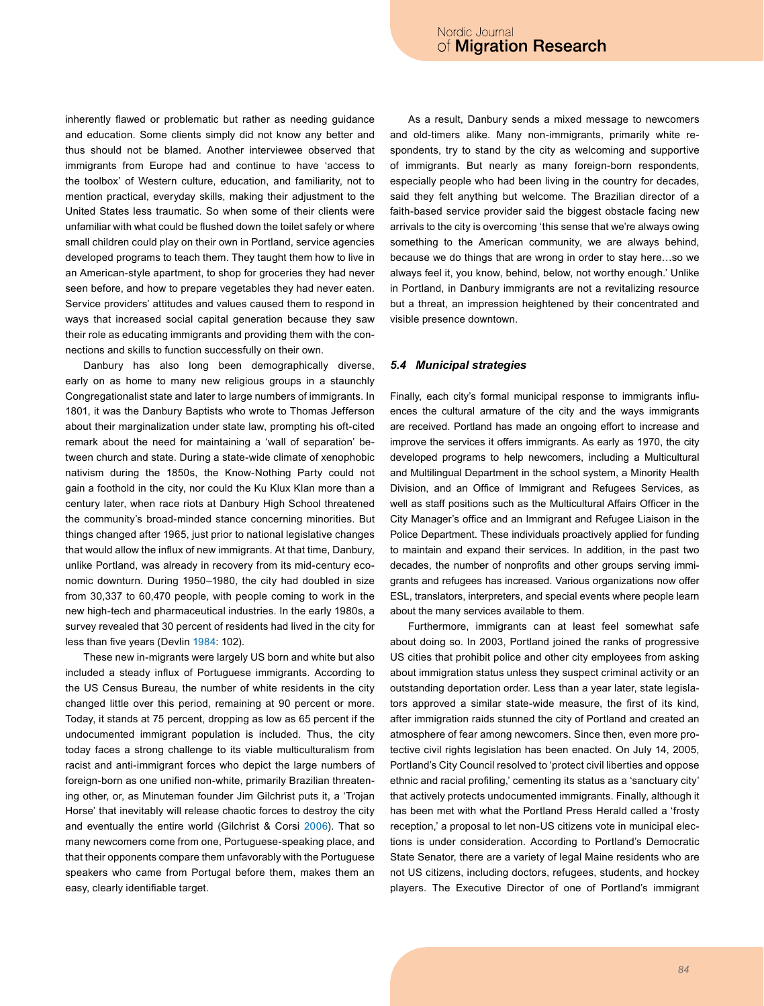inherently flawed or problematic but rather as needing guidance and education. Some clients simply did not know any better and thus should not be blamed. Another interviewee observed that immigrants from Europe had and continue to have 'access to the toolbox' of Western culture, education, and familiarity, not to mention practical, everyday skills, making their adjustment to the United States less traumatic. So when some of their clients were unfamiliar with what could be flushed down the toilet safely or where small children could play on their own in Portland, service agencies developed programs to teach them. They taught them how to live in an American-style apartment, to shop for groceries they had never seen before, and how to prepare vegetables they had never eaten. Service providers' attitudes and values caused them to respond in ways that increased social capital generation because they saw their role as educating immigrants and providing them with the connections and skills to function successfully on their own.

Danbury has also long been demographically diverse, early on as home to many new religious groups in a staunchly Congregationalist state and later to large numbers of immigrants. In 1801, it was the Danbury Baptists who wrote to Thomas Jefferson about their marginalization under state law, prompting his oft-cited remark about the need for maintaining a 'wall of separation' between church and state. During a state-wide climate of xenophobic nativism during the 1850s, the Know-Nothing Party could not gain a foothold in the city, nor could the Ku Klux Klan more than a century later, when race riots at Danbury High School threatened the community's broad-minded stance concerning minorities. But things changed after 1965, just prior to national legislative changes that would allow the influx of new immigrants. At that time, Danbury, unlike Portland, was already in recovery from its mid-century economic downturn. During 1950–1980, the city had doubled in size from 30,337 to 60,470 people, with people coming to work in the new high-tech and pharmaceutical industries. In the early 1980s, a survey revealed that 30 percent of residents had lived in the city for less than five years (Devlin [1984](#page-9-24): 102).

These new in-migrants were largely US born and white but also included a steady influx of Portuguese immigrants. According to the US Census Bureau, the number of white residents in the city changed little over this period, remaining at 90 percent or more. Today, it stands at 75 percent, dropping as low as 65 percent if the undocumented immigrant population is included. Thus, the city today faces a strong challenge to its viable multiculturalism from racist and anti-immigrant forces who depict the large numbers of foreign-born as one unified non-white, primarily Brazilian threatening other, or, as Minuteman founder Jim Gilchrist puts it, a 'Trojan Horse' that inevitably will release chaotic forces to destroy the city and eventually the entire world (Gilchrist & Corsi [2006](#page-9-28)). That so many newcomers come from one, Portuguese-speaking place, and that their opponents compare them unfavorably with the Portuguese speakers who came from Portugal before them, makes them an easy, clearly identifiable target.

As a result, Danbury sends a mixed message to newcomers and old-timers alike. Many non-immigrants, primarily white respondents, try to stand by the city as welcoming and supportive of immigrants. But nearly as many foreign-born respondents, especially people who had been living in the country for decades, said they felt anything but welcome. The Brazilian director of a faith-based service provider said the biggest obstacle facing new arrivals to the city is overcoming 'this sense that we're always owing something to the American community, we are always behind, because we do things that are wrong in order to stay here…so we always feel it, you know, behind, below, not worthy enough.' Unlike in Portland, in Danbury immigrants are not a revitalizing resource but a threat, an impression heightened by their concentrated and visible presence downtown.

#### *5.4 Municipal strategies*

Finally, each city's formal municipal response to immigrants influences the cultural armature of the city and the ways immigrants are received. Portland has made an ongoing effort to increase and improve the services it offers immigrants. As early as 1970, the city developed programs to help newcomers, including a Multicultural and Multilingual Department in the school system, a Minority Health Division, and an Office of Immigrant and Refugees Services, as well as staff positions such as the Multicultural Affairs Officer in the City Manager's office and an Immigrant and Refugee Liaison in the Police Department. These individuals proactively applied for funding to maintain and expand their services. In addition, in the past two decades, the number of nonprofits and other groups serving immigrants and refugees has increased. Various organizations now offer ESL, translators, interpreters, and special events where people learn about the many services available to them.

Furthermore, immigrants can at least feel somewhat safe about doing so. In 2003, Portland joined the ranks of progressive US cities that prohibit police and other city employees from asking about immigration status unless they suspect criminal activity or an outstanding deportation order. Less than a year later, state legislators approved a similar state-wide measure, the first of its kind, after immigration raids stunned the city of Portland and created an atmosphere of fear among newcomers. Since then, even more protective civil rights legislation has been enacted. On July 14, 2005, Portland's City Council resolved to 'protect civil liberties and oppose ethnic and racial profiling,' cementing its status as a 'sanctuary city' that actively protects undocumented immigrants. Finally, although it has been met with what the Portland Press Herald called a 'frosty reception,' a proposal to let non-US citizens vote in municipal elections is under consideration. According to Portland's Democratic State Senator, there are a variety of legal Maine residents who are not US citizens, including doctors, refugees, students, and hockey players. The Executive Director of one of Portland's immigrant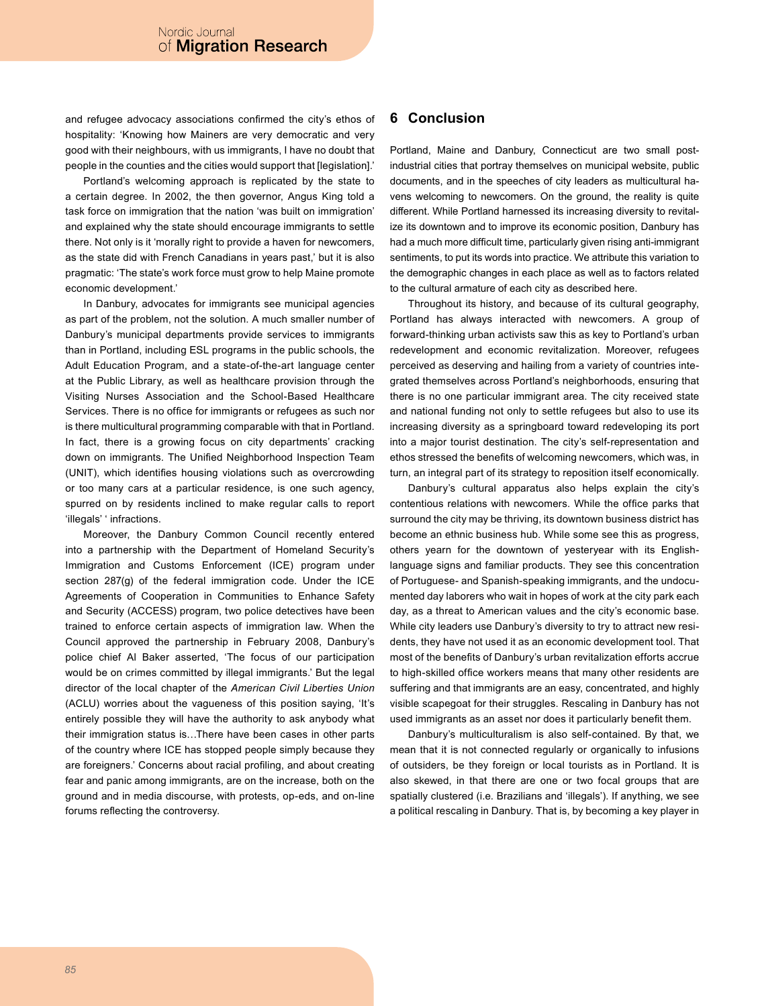and refugee advocacy associations confirmed the city's ethos of hospitality: 'Knowing how Mainers are very democratic and very good with their neighbours, with us immigrants, I have no doubt that people in the counties and the cities would support that [legislation].'

Portland's welcoming approach is replicated by the state to a certain degree. In 2002, the then governor, Angus King told a task force on immigration that the nation 'was built on immigration' and explained why the state should encourage immigrants to settle there. Not only is it 'morally right to provide a haven for newcomers, as the state did with French Canadians in years past,' but it is also pragmatic: 'The state's work force must grow to help Maine promote economic development.'

In Danbury, advocates for immigrants see municipal agencies as part of the problem, not the solution. A much smaller number of Danbury's municipal departments provide services to immigrants than in Portland, including ESL programs in the public schools, the Adult Education Program, and a state-of-the-art language center at the Public Library, as well as healthcare provision through the Visiting Nurses Association and the School-Based Healthcare Services. There is no office for immigrants or refugees as such nor is there multicultural programming comparable with that in Portland. In fact, there is a growing focus on city departments' cracking down on immigrants. The Unified Neighborhood Inspection Team (UNIT), which identifies housing violations such as overcrowding or too many cars at a particular residence, is one such agency, spurred on by residents inclined to make regular calls to report 'illegals' ' infractions.

Moreover, the Danbury Common Council recently entered into a partnership with the Department of Homeland Security's Immigration and Customs Enforcement (ICE) program under section 287(g) of the federal immigration code. Under the ICE Agreements of Cooperation in Communities to Enhance Safety and Security (ACCESS) program, two police detectives have been trained to enforce certain aspects of immigration law. When the Council approved the partnership in February 2008, Danbury's police chief Al Baker asserted, 'The focus of our participation would be on crimes committed by illegal immigrants.' But the legal director of the local chapter of the *American Civil Liberties Union* (ACLU) worries about the vagueness of this position saying, 'It's entirely possible they will have the authority to ask anybody what their immigration status is…There have been cases in other parts of the country where ICE has stopped people simply because they are foreigners.' Concerns about racial profiling, and about creating fear and panic among immigrants, are on the increase, both on the ground and in media discourse, with protests, op-eds, and on-line forums reflecting the controversy.

# **6 Conclusion**

Portland, Maine and Danbury, Connecticut are two small postindustrial cities that portray themselves on municipal website, public documents, and in the speeches of city leaders as multicultural havens welcoming to newcomers. On the ground, the reality is quite different. While Portland harnessed its increasing diversity to revitalize its downtown and to improve its economic position, Danbury has had a much more difficult time, particularly given rising anti-immigrant sentiments, to put its words into practice. We attribute this variation to the demographic changes in each place as well as to factors related to the cultural armature of each city as described here.

Throughout its history, and because of its cultural geography, Portland has always interacted with newcomers. A group of forward-thinking urban activists saw this as key to Portland's urban redevelopment and economic revitalization. Moreover, refugees perceived as deserving and hailing from a variety of countries integrated themselves across Portland's neighborhoods, ensuring that there is no one particular immigrant area. The city received state and national funding not only to settle refugees but also to use its increasing diversity as a springboard toward redeveloping its port into a major tourist destination. The city's self-representation and ethos stressed the benefits of welcoming newcomers, which was, in turn, an integral part of its strategy to reposition itself economically.

Danbury's cultural apparatus also helps explain the city's contentious relations with newcomers. While the office parks that surround the city may be thriving, its downtown business district has become an ethnic business hub. While some see this as progress, others yearn for the downtown of yesteryear with its Englishlanguage signs and familiar products. They see this concentration of Portuguese- and Spanish-speaking immigrants, and the undocumented day laborers who wait in hopes of work at the city park each day, as a threat to American values and the city's economic base. While city leaders use Danbury's diversity to try to attract new residents, they have not used it as an economic development tool. That most of the benefits of Danbury's urban revitalization efforts accrue to high-skilled office workers means that many other residents are suffering and that immigrants are an easy, concentrated, and highly visible scapegoat for their struggles. Rescaling in Danbury has not used immigrants as an asset nor does it particularly benefit them.

Danbury's multiculturalism is also self-contained. By that, we mean that it is not connected regularly or organically to infusions of outsiders, be they foreign or local tourists as in Portland. It is also skewed, in that there are one or two focal groups that are spatially clustered (i.e. Brazilians and 'illegals'). If anything, we see a political rescaling in Danbury. That is, by becoming a key player in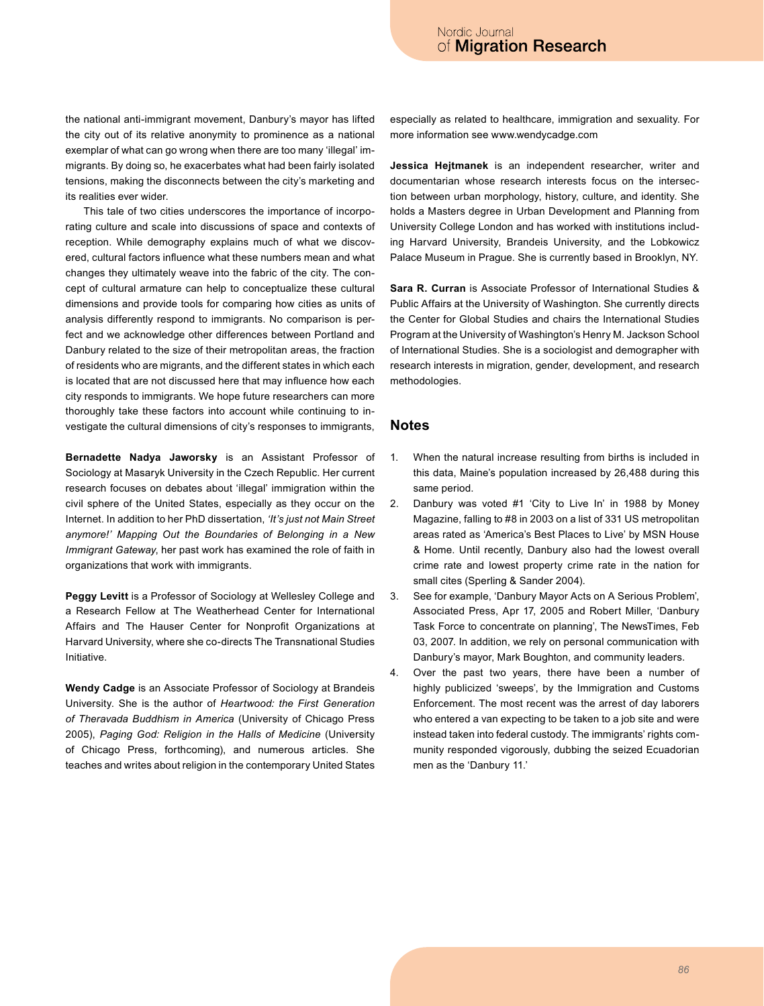the national anti-immigrant movement, Danbury's mayor has lifted the city out of its relative anonymity to prominence as a national exemplar of what can go wrong when there are too many 'illegal' immigrants. By doing so, he exacerbates what had been fairly isolated tensions, making the disconnects between the city's marketing and its realities ever wider.

This tale of two cities underscores the importance of incorporating culture and scale into discussions of space and contexts of reception. While demography explains much of what we discovered, cultural factors influence what these numbers mean and what changes they ultimately weave into the fabric of the city. The concept of cultural armature can help to conceptualize these cultural dimensions and provide tools for comparing how cities as units of analysis differently respond to immigrants. No comparison is perfect and we acknowledge other differences between Portland and Danbury related to the size of their metropolitan areas, the fraction of residents who are migrants, and the different states in which each is located that are not discussed here that may influence how each city responds to immigrants. We hope future researchers can more thoroughly take these factors into account while continuing to investigate the cultural dimensions of city's responses to immigrants,

**Bernadette Nadya Jaworsky** is an Assistant Professor of Sociology at Masaryk University in the Czech Republic. Her current research focuses on debates about 'illegal' immigration within the civil sphere of the United States, especially as they occur on the Internet. In addition to her PhD dissertation, *'It's just not Main Street anymore!' Mapping Out the Boundaries of Belonging in a New Immigrant Gateway*, her past work has examined the role of faith in organizations that work with immigrants.

**Peggy Levitt** is a Professor of Sociology at Wellesley College and a Research Fellow at The Weatherhead Center for International Affairs and The Hauser Center for Nonprofit Organizations at Harvard University, where she co-directs The Transnational Studies Initiative.

**Wendy Cadge** is an Associate Professor of Sociology at Brandeis University. She is the author of *Heartwood: the First Generation of Theravada Buddhism in America* (University of Chicago Press 2005), *Paging God: Religion in the Halls of Medicine* (University of Chicago Press, forthcoming), and numerous articles. She teaches and writes about religion in the contemporary United States especially as related to healthcare, immigration and sexuality. For more information see www.wendycadge.com

**Jessica Hejtmanek** is an independent researcher, writer and documentarian whose research interests focus on the intersection between urban morphology, history, culture, and identity. She holds a Masters degree in Urban Development and Planning from University College London and has worked with institutions including Harvard University, Brandeis University, and the Lobkowicz Palace Museum in Prague. She is currently based in Brooklyn, NY.

**Sara R. Curran** is Associate Professor of International Studies & Public Affairs at the University of Washington. She currently directs the Center for Global Studies and chairs the International Studies Program at the University of Washington's Henry M. Jackson School of International Studies. She is a sociologist and demographer with research interests in migration, gender, development, and research methodologies.

# **Notes**

- <span id="page-8-0"></span>1. When the natural increase resulting from births is included in this data, Maine's population increased by 26,488 during this same period.
- <span id="page-8-1"></span>2. Danbury was voted #1 'City to Live In' in 1988 by Money Magazine, falling to #8 in 2003 on a list of 331 US metropolitan areas rated as 'America's Best Places to Live' by MSN House & Home. Until recently, Danbury also had the lowest overall crime rate and lowest property crime rate in the nation for small cites (Sperling & Sander 2004).
- <span id="page-8-2"></span>3. See for example, 'Danbury Mayor Acts on A Serious Problem', Associated Press, Apr 17, 2005 and Robert Miller, 'Danbury Task Force to concentrate on planning', The NewsTimes, Feb 03, 2007. In addition, we rely on personal communication with Danbury's mayor, Mark Boughton, and community leaders.
- <span id="page-8-3"></span>4. Over the past two years, there have been a number of highly publicized 'sweeps', by the Immigration and Customs Enforcement. The most recent was the arrest of day laborers who entered a van expecting to be taken to a job site and were instead taken into federal custody. The immigrants' rights community responded vigorously, dubbing the seized Ecuadorian men as the 'Danbury 11.'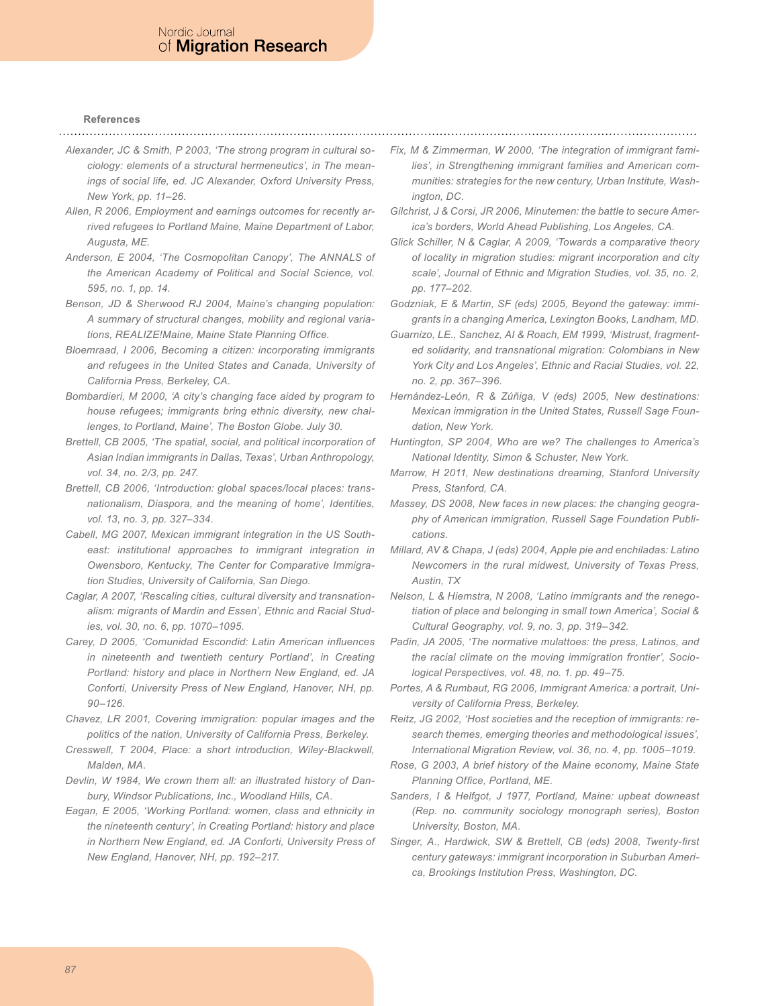#### **References**

- <span id="page-9-3"></span>*Alexander, JC & Smith, P 2003, 'The strong program in cultural sociology: elements of a structural hermeneutics', in The meanings of social life, ed. JC Alexander, Oxford University Press, New York, pp. 11–26.*
- <span id="page-9-22"></span>*Allen, R 2006, Employment and earnings outcomes for recently arrived refugees to Portland Maine, Maine Department of Labor, Augusta, ME.*
- <span id="page-9-27"></span>*Anderson, E 2004, 'The Cosmopolitan Canopy', The ANNALS of the American Academy of Political and Social Science, vol. 595, no. 1, pp. 14.*
- <span id="page-9-21"></span>*Benson, JD & Sherwood RJ 2004, Maine's changing population: A summary of structural changes, mobility and regional variations, REALIZE!Maine, Maine State Planning Office.*
- <span id="page-9-8"></span>*Bloemraad, I 2006, Becoming a citizen: incorporating immigrants and refugees in the United States and Canada, University of California Press, Berkeley, CA.*
- <span id="page-9-23"></span>*Bombardieri, M 2000, 'A city's changing face aided by program to house refugees; immigrants bring ethnic diversity, new challenges, to Portland, Maine', The Boston Globe. July 30.*
- <span id="page-9-0"></span>*Brettell, CB 2005, 'The spatial, social, and political incorporation of Asian Indian immigrants in Dallas, Texas', Urban Anthropology, vol. 34, no. 2/3, pp. 247.*
- <span id="page-9-4"></span>*Brettell, CB 2006, 'Introduction: global spaces/local places: transnationalism, Diaspora, and the meaning of home', Identities, vol. 13, no. 3, pp. 327–334.*
- <span id="page-9-14"></span>*Cabell, MG 2007, Mexican immigrant integration in the US Southeast: institutional approaches to immigrant integration in Owensboro, Kentucky, The Center for Comparative Immigration Studies, University of California, San Diego.*
- <span id="page-9-1"></span>*Caglar, A 2007, 'Rescaling cities, cultural diversity and transnationalism: migrants of Mardin and Essen', Ethnic and Racial Studies, vol. 30, no. 6, pp. 1070–1095.*
- <span id="page-9-26"></span>*Carey, D 2005, 'Comunidad Escondid: Latin American influences in nineteenth and twentieth century Portland', in Creating Portland: history and place in Northern New England, ed. JA Conforti, University Press of New England, Hanover, NH, pp. 90–126.*
- <span id="page-9-10"></span>*Chavez, LR 2001, Covering immigration: popular images and the politics of the nation, University of California Press, Berkeley.*
- <span id="page-9-12"></span>*Cresswell, T 2004, Place: a short introduction, Wiley-Blackwell, Malden, MA.*
- <span id="page-9-24"></span>*Devlin, W 1984, We crown them all: an illustrated history of Danbury, Windsor Publications, Inc., Woodland Hills, CA.*
- <span id="page-9-19"></span>*Eagan, E 2005, 'Working Portland: women, class and ethnicity in the nineteenth century', in Creating Portland: history and place in Northern New England, ed. JA Conforti, University Press of New England, Hanover, NH, pp. 192–217.*
- <span id="page-9-7"></span>*Fix, M & Zimmerman, W 2000, 'The integration of immigrant families', in Strengthening immigrant families and American communities: strategies for the new century, Urban Institute, Washington, DC.*
- <span id="page-9-28"></span>*Gilchrist, J & Corsi, JR 2006, Minutemen: the battle to secure America's borders, World Ahead Publishing, Los Angeles, CA.*
- <span id="page-9-2"></span>*Glick Schiller, N & Caglar, A 2009, 'Towards a comparative theory of locality in migration studies: migrant incorporation and city scale', Journal of Ethnic and Migration Studies, vol. 35, no. 2, pp. 177–202.*
- <span id="page-9-17"></span>*Godzniak, E & Martin, SF (eds) 2005, Beyond the gateway: immigrants in a changing America, Lexington Books, Landham, MD.*
- <span id="page-9-9"></span>*Guarnizo, LE., Sanchez, AI & Roach, EM 1999, 'Mistrust, fragmented solidarity, and transnational migration: Colombians in New York City and Los Angeles', Ethnic and Racial Studies, vol. 22, no. 2, pp. 367–396.*
- *Hernández-León, R & Zúñiga, V (eds) 2005, New destinations: Mexican immigration in the United States, Russell Sage Foundation, New York.*
- *Huntington, SP 2004, Who are we? The challenges to America's National Identity, Simon & Schuster, New York.*
- <span id="page-9-18"></span>*Marrow, H 2011, New destinations dreaming, Stanford University Press, Stanford, CA.*
- <span id="page-9-15"></span>*Massey, DS 2008, New faces in new places: the changing geography of American immigration, Russell Sage Foundation Publications.*
- <span id="page-9-11"></span>*Millard, AV & Chapa, J (eds) 2004, Apple pie and enchiladas: Latino Newcomers in the rural midwest, University of Texas Press, Austin, TX*
- <span id="page-9-13"></span>*Nelson, L & Hiemstra, N 2008, 'Latino immigrants and the renegotiation of place and belonging in small town America', Social & Cultural Geography, vol. 9, no. 3, pp. 319–342.*
- *Padín, JA 2005, 'The normative mulattoes: the press, Latinos, and the racial climate on the moving immigration frontier', Sociological Perspectives, vol. 48, no. 1. pp. 49–75.*
- <span id="page-9-5"></span>*Portes, A & Rumbaut, RG 2006, Immigrant America: a portrait, University of California Press, Berkeley.*
- <span id="page-9-6"></span>*Reitz, JG 2002, 'Host societies and the reception of immigrants: research themes, emerging theories and methodological issues', International Migration Review, vol. 36, no. 4, pp. 1005–1019.*
- <span id="page-9-20"></span>*Rose, G 2003, A brief history of the Maine economy, Maine State Planning Office, Portland, ME.*
- <span id="page-9-25"></span>*Sanders, I & Helfgot, J 1977, Portland, Maine: upbeat downeast (Rep. no. community sociology monograph series), Boston University, Boston, MA.*
- <span id="page-9-16"></span>*Singer, A., Hardwick, SW & Brettell, CB (eds) 2008, Twenty-first century gateways: immigrant incorporation in Suburban America, Brookings Institution Press, Washington, DC.*